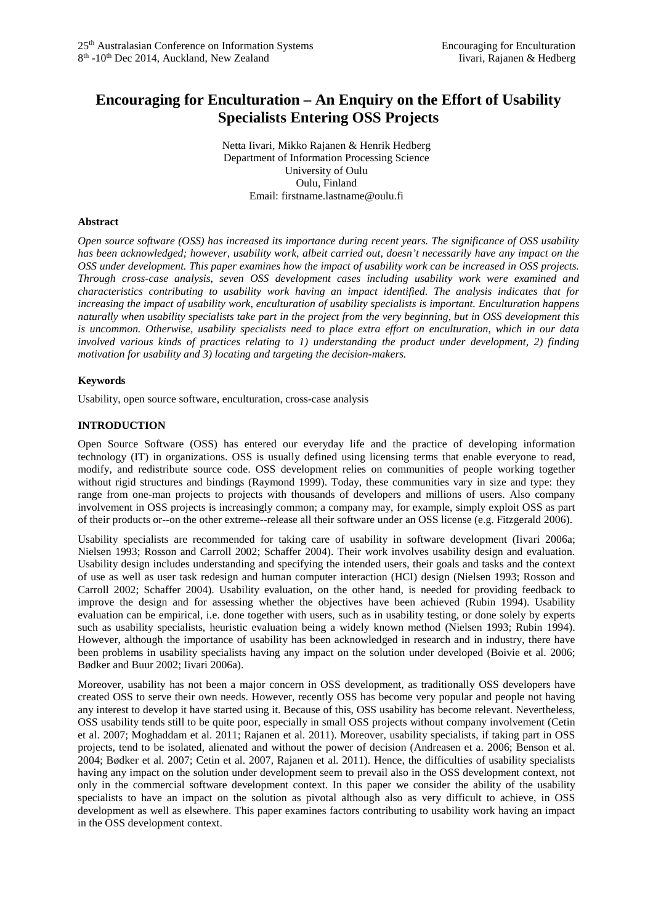# **Encouraging for Enculturation – An Enquiry on the Effort of Usability Specialists Entering OSS Projects**

Netta Iivari, Mikko Rajanen & Henrik Hedberg Department of Information Processing Science University of Oulu Oulu, Finland Email: firstname.lastname@oulu.fi

## **Abstract**

*Open source software (OSS) has increased its importance during recent years. The significance of OSS usability has been acknowledged; however, usability work, albeit carried out, doesn't necessarily have any impact on the OSS under development. This paper examines how the impact of usability work can be increased in OSS projects. Through cross-case analysis, seven OSS development cases including usability work were examined and characteristics contributing to usability work having an impact identified. The analysis indicates that for increasing the impact of usability work, enculturation of usability specialists is important. Enculturation happens naturally when usability specialists take part in the project from the very beginning, but in OSS development this is uncommon. Otherwise, usability specialists need to place extra effort on enculturation, which in our data involved various kinds of practices relating to 1) understanding the product under development, 2) finding motivation for usability and 3) locating and targeting the decision-makers.*

# **Keywords**

Usability, open source software, enculturation, cross-case analysis

# **INTRODUCTION**

Open Source Software (OSS) has entered our everyday life and the practice of developing information technology (IT) in organizations. OSS is usually defined using licensing terms that enable everyone to read, modify, and redistribute source code. OSS development relies on communities of people working together without rigid structures and bindings (Raymond 1999). Today, these communities vary in size and type: they range from one-man projects to projects with thousands of developers and millions of users. Also company involvement in OSS projects is increasingly common; a company may, for example, simply exploit OSS as part of their products or--on the other extreme--release all their software under an OSS license (e.g. Fitzgerald 2006).

Usability specialists are recommended for taking care of usability in software development (Iivari 2006a; Nielsen 1993; Rosson and Carroll 2002; Schaffer 2004). Their work involves usability design and evaluation. Usability design includes understanding and specifying the intended users, their goals and tasks and the context of use as well as user task redesign and human computer interaction (HCI) design (Nielsen 1993; Rosson and Carroll 2002; Schaffer 2004). Usability evaluation, on the other hand, is needed for providing feedback to improve the design and for assessing whether the objectives have been achieved (Rubin 1994). Usability evaluation can be empirical, i.e. done together with users, such as in usability testing, or done solely by experts such as usability specialists, heuristic evaluation being a widely known method (Nielsen 1993; Rubin 1994). However, although the importance of usability has been acknowledged in research and in industry, there have been problems in usability specialists having any impact on the solution under developed (Boivie et al. 2006; Bødker and Buur 2002; Iivari 2006a).

Moreover, usability has not been a major concern in OSS development, as traditionally OSS developers have created OSS to serve their own needs. However, recently OSS has become very popular and people not having any interest to develop it have started using it. Because of this, OSS usability has become relevant. Nevertheless, OSS usability tends still to be quite poor, especially in small OSS projects without company involvement (Cetin et al. 2007; Moghaddam et al. 2011; Rajanen et al. 2011). Moreover, usability specialists, if taking part in OSS projects, tend to be isolated, alienated and without the power of decision (Andreasen et a. 2006; Benson et al. 2004; Bødker et al. 2007; Cetin et al. 2007, Rajanen et al. 2011). Hence, the difficulties of usability specialists having any impact on the solution under development seem to prevail also in the OSS development context, not only in the commercial software development context. In this paper we consider the ability of the usability specialists to have an impact on the solution as pivotal although also as very difficult to achieve, in OSS development as well as elsewhere. This paper examines factors contributing to usability work having an impact in the OSS development context.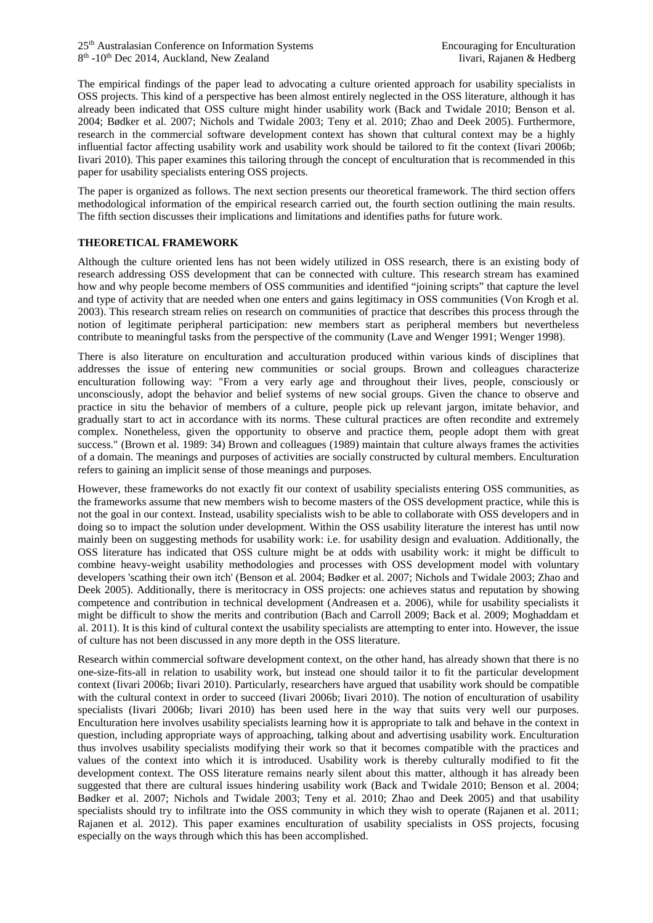The empirical findings of the paper lead to advocating a culture oriented approach for usability specialists in OSS projects. This kind of a perspective has been almost entirely neglected in the OSS literature, although it has already been indicated that OSS culture might hinder usability work (Back and Twidale 2010; Benson et al. 2004; Bødker et al. 2007; Nichols and Twidale 2003; Teny et al. 2010; Zhao and Deek 2005). Furthermore, research in the commercial software development context has shown that cultural context may be a highly influential factor affecting usability work and usability work should be tailored to fit the context (Iivari 2006b; Iivari 2010). This paper examines this tailoring through the concept of enculturation that is recommended in this paper for usability specialists entering OSS projects.

The paper is organized as follows. The next section presents our theoretical framework. The third section offers methodological information of the empirical research carried out, the fourth section outlining the main results. The fifth section discusses their implications and limitations and identifies paths for future work.

# **THEORETICAL FRAMEWORK**

Although the culture oriented lens has not been widely utilized in OSS research, there is an existing body of research addressing OSS development that can be connected with culture. This research stream has examined how and why people become members of OSS communities and identified "joining scripts" that capture the level and type of activity that are needed when one enters and gains legitimacy in OSS communities (Von Krogh et al. 2003). This research stream relies on research on communities of practice that describes this process through the notion of legitimate peripheral participation: new members start as peripheral members but nevertheless contribute to meaningful tasks from the perspective of the community (Lave and Wenger 1991; Wenger 1998).

There is also literature on enculturation and acculturation produced within various kinds of disciplines that addresses the issue of entering new communities or social groups. Brown and colleagues characterize enculturation following way: "From a very early age and throughout their lives, people, consciously or unconsciously, adopt the behavior and belief systems of new social groups. Given the chance to observe and practice in situ the behavior of members of a culture, people pick up relevant jargon, imitate behavior, and gradually start to act in accordance with its norms. These cultural practices are often recondite and extremely complex. Nonetheless, given the opportunity to observe and practice them, people adopt them with great success." (Brown et al. 1989: 34) Brown and colleagues (1989) maintain that culture always frames the activities of a domain. The meanings and purposes of activities are socially constructed by cultural members. Enculturation refers to gaining an implicit sense of those meanings and purposes.

However, these frameworks do not exactly fit our context of usability specialists entering OSS communities, as the frameworks assume that new members wish to become masters of the OSS development practice, while this is not the goal in our context. Instead, usability specialists wish to be able to collaborate with OSS developers and in doing so to impact the solution under development. Within the OSS usability literature the interest has until now mainly been on suggesting methods for usability work: i.e. for usability design and evaluation. Additionally, the OSS literature has indicated that OSS culture might be at odds with usability work: it might be difficult to combine heavy-weight usability methodologies and processes with OSS development model with voluntary developers 'scathing their own itch' (Benson et al. 2004; Bødker et al. 2007; Nichols and Twidale 2003; Zhao and Deek 2005). Additionally, there is meritocracy in OSS projects: one achieves status and reputation by showing competence and contribution in technical development (Andreasen et a. 2006), while for usability specialists it might be difficult to show the merits and contribution (Bach and Carroll 2009; Back et al. 2009; Moghaddam et al. 2011). It is this kind of cultural context the usability specialists are attempting to enter into. However, the issue of culture has not been discussed in any more depth in the OSS literature.

Research within commercial software development context, on the other hand, has already shown that there is no one-size-fits-all in relation to usability work, but instead one should tailor it to fit the particular development context (Iivari 2006b; Iivari 2010). Particularly, researchers have argued that usability work should be compatible with the cultural context in order to succeed (Iivari 2006b; Iivari 2010). The notion of enculturation of usability specialists (Iivari 2006b; Iivari 2010) has been used here in the way that suits very well our purposes. Enculturation here involves usability specialists learning how it is appropriate to talk and behave in the context in question, including appropriate ways of approaching, talking about and advertising usability work. Enculturation thus involves usability specialists modifying their work so that it becomes compatible with the practices and values of the context into which it is introduced. Usability work is thereby culturally modified to fit the development context. The OSS literature remains nearly silent about this matter, although it has already been suggested that there are cultural issues hindering usability work (Back and Twidale 2010; Benson et al. 2004; Bødker et al. 2007; Nichols and Twidale 2003; Teny et al. 2010; Zhao and Deek 2005) and that usability specialists should try to infiltrate into the OSS community in which they wish to operate (Rajanen et al. 2011; Rajanen et al. 2012). This paper examines enculturation of usability specialists in OSS projects, focusing especially on the ways through which this has been accomplished.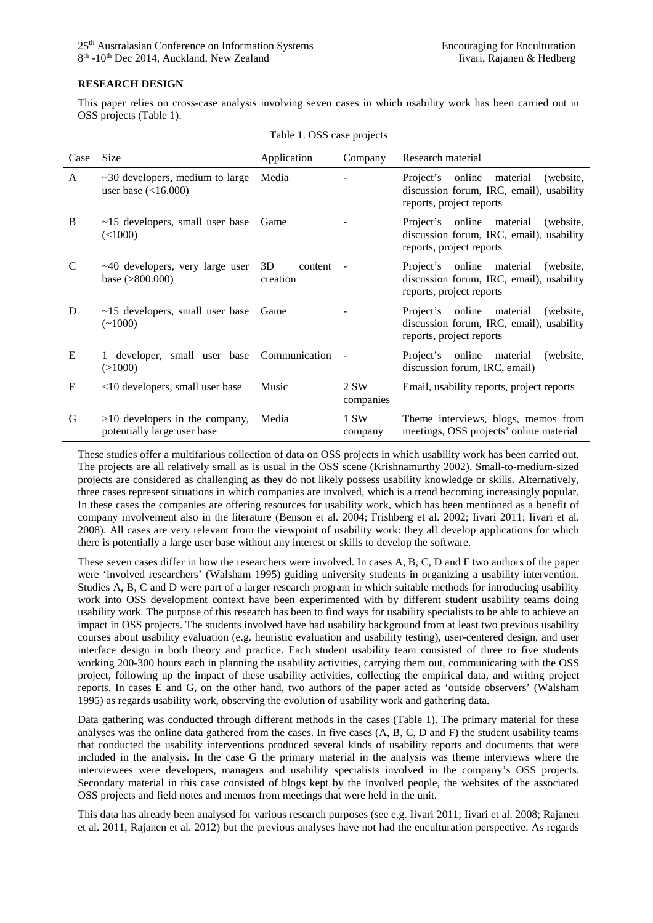#### **RESEARCH DESIGN**

This paper relies on cross-case analysis involving seven cases in which usability work has been carried out in OSS projects (Table 1).

| Case | <b>Size</b>                                                                 | Application               | Company           | Research material                                                                                                 |
|------|-----------------------------------------------------------------------------|---------------------------|-------------------|-------------------------------------------------------------------------------------------------------------------|
| A    | $\sim$ 30 developers, medium to large Media<br>user base $\left($ < 16.000) |                           |                   | Project's online<br>material<br>(website,<br>discussion forum, IRC, email), usability<br>reports, project reports |
| B    | $~15$ developers, small user base<br>(<1000)                                | Game                      |                   | Project's online material (website,<br>discussion forum, IRC, email), usability<br>reports, project reports       |
| C    | $~10$ developers, very large user<br>base $(>800.000)$                      | 3D<br>content<br>creation |                   | Project's online material<br>(website,<br>discussion forum, IRC, email), usability<br>reports, project reports    |
| D    | $~15$ developers, small user base<br>$(-1000)$                              | <b>Game</b>               |                   | Project's online material<br>(website,<br>discussion forum, IRC, email), usability<br>reports, project reports    |
| E    | 1 developer, small user base Communication<br>(>1000)                       |                           |                   | Project's online material<br>(website,<br>discussion forum, IRC, email)                                           |
| F    | <10 developers, small user base                                             | Music                     | 2 SW<br>companies | Email, usability reports, project reports                                                                         |
| G    | $>10$ developers in the company,<br>potentially large user base             | Media                     | 1 SW<br>company   | Theme interviews, blogs, memos from<br>meetings, OSS projects' online material                                    |

Table 1. OSS case projects

These studies offer a multifarious collection of data on OSS projects in which usability work has been carried out. The projects are all relatively small as is usual in the OSS scene (Krishnamurthy 2002). Small-to-medium-sized projects are considered as challenging as they do not likely possess usability knowledge or skills. Alternatively, three cases represent situations in which companies are involved, which is a trend becoming increasingly popular. In these cases the companies are offering resources for usability work, which has been mentioned as a benefit of company involvement also in the literature (Benson et al. 2004; Frishberg et al. 2002; Iivari 2011; Iivari et al. 2008). All cases are very relevant from the viewpoint of usability work: they all develop applications for which there is potentially a large user base without any interest or skills to develop the software.

These seven cases differ in how the researchers were involved. In cases A, B, C, D and F two authors of the paper were 'involved researchers' (Walsham 1995) guiding university students in organizing a usability intervention. Studies A, B, C and D were part of a larger research program in which suitable methods for introducing usability work into OSS development context have been experimented with by different student usability teams doing usability work. The purpose of this research has been to find ways for usability specialists to be able to achieve an impact in OSS projects. The students involved have had usability background from at least two previous usability courses about usability evaluation (e.g. heuristic evaluation and usability testing), user-centered design, and user interface design in both theory and practice. Each student usability team consisted of three to five students working 200-300 hours each in planning the usability activities, carrying them out, communicating with the OSS project, following up the impact of these usability activities, collecting the empirical data, and writing project reports. In cases E and G, on the other hand, two authors of the paper acted as 'outside observers' (Walsham 1995) as regards usability work, observing the evolution of usability work and gathering data.

Data gathering was conducted through different methods in the cases (Table 1). The primary material for these analyses was the online data gathered from the cases. In five cases (A, B, C, D and F) the student usability teams that conducted the usability interventions produced several kinds of usability reports and documents that were included in the analysis. In the case G the primary material in the analysis was theme interviews where the interviewees were developers, managers and usability specialists involved in the company's OSS projects. Secondary material in this case consisted of blogs kept by the involved people, the websites of the associated OSS projects and field notes and memos from meetings that were held in the unit.

This data has already been analysed for various research purposes (see e.g. Iivari 2011; Iivari et al. 2008; Rajanen et al. 2011, Rajanen et al. 2012) but the previous analyses have not had the enculturation perspective. As regards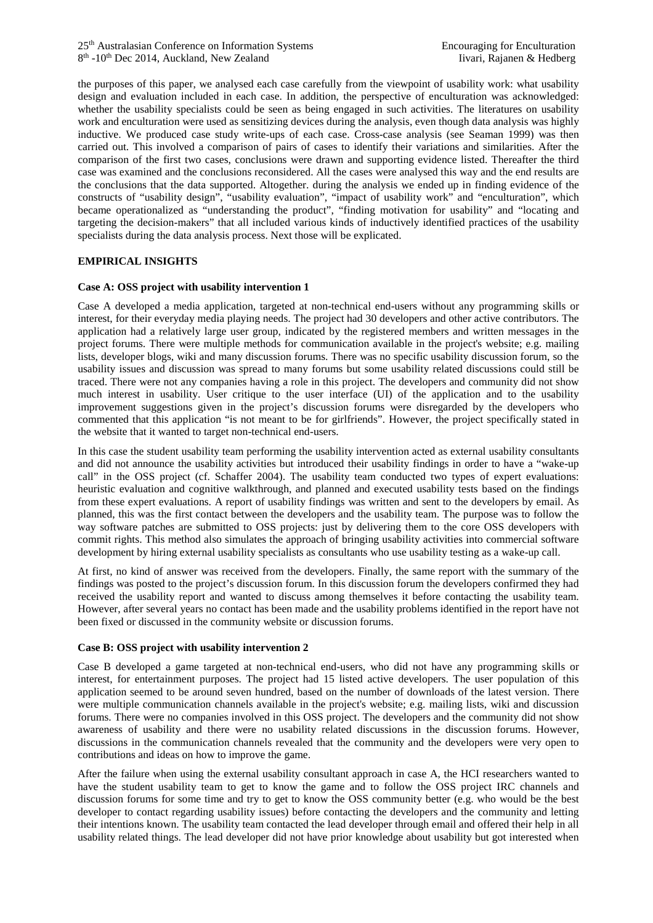the purposes of this paper, we analysed each case carefully from the viewpoint of usability work: what usability design and evaluation included in each case. In addition, the perspective of enculturation was acknowledged: whether the usability specialists could be seen as being engaged in such activities. The literatures on usability work and enculturation were used as sensitizing devices during the analysis, even though data analysis was highly inductive. We produced case study write-ups of each case. Cross-case analysis (see Seaman 1999) was then carried out. This involved a comparison of pairs of cases to identify their variations and similarities. After the comparison of the first two cases, conclusions were drawn and supporting evidence listed. Thereafter the third case was examined and the conclusions reconsidered. All the cases were analysed this way and the end results are the conclusions that the data supported. Altogether. during the analysis we ended up in finding evidence of the constructs of "usability design", "usability evaluation", "impact of usability work" and "enculturation", which became operationalized as "understanding the product", "finding motivation for usability" and "locating and targeting the decision-makers" that all included various kinds of inductively identified practices of the usability specialists during the data analysis process. Next those will be explicated.

## **EMPIRICAL INSIGHTS**

#### **Case A: OSS project with usability intervention 1**

Case A developed a media application, targeted at non-technical end-users without any programming skills or interest, for their everyday media playing needs. The project had 30 developers and other active contributors. The application had a relatively large user group, indicated by the registered members and written messages in the project forums. There were multiple methods for communication available in the project's website; e.g. mailing lists, developer blogs, wiki and many discussion forums. There was no specific usability discussion forum, so the usability issues and discussion was spread to many forums but some usability related discussions could still be traced. There were not any companies having a role in this project. The developers and community did not show much interest in usability. User critique to the user interface (UI) of the application and to the usability improvement suggestions given in the project's discussion forums were disregarded by the developers who commented that this application "is not meant to be for girlfriends". However, the project specifically stated in the website that it wanted to target non-technical end-users.

In this case the student usability team performing the usability intervention acted as external usability consultants and did not announce the usability activities but introduced their usability findings in order to have a "wake-up call" in the OSS project (cf. Schaffer 2004). The usability team conducted two types of expert evaluations: heuristic evaluation and cognitive walkthrough, and planned and executed usability tests based on the findings from these expert evaluations. A report of usability findings was written and sent to the developers by email. As planned, this was the first contact between the developers and the usability team. The purpose was to follow the way software patches are submitted to OSS projects: just by delivering them to the core OSS developers with commit rights. This method also simulates the approach of bringing usability activities into commercial software development by hiring external usability specialists as consultants who use usability testing as a wake-up call.

At first, no kind of answer was received from the developers. Finally, the same report with the summary of the findings was posted to the project's discussion forum. In this discussion forum the developers confirmed they had received the usability report and wanted to discuss among themselves it before contacting the usability team. However, after several years no contact has been made and the usability problems identified in the report have not been fixed or discussed in the community website or discussion forums.

#### **Case B: OSS project with usability intervention 2**

Case B developed a game targeted at non-technical end-users, who did not have any programming skills or interest, for entertainment purposes. The project had 15 listed active developers. The user population of this application seemed to be around seven hundred, based on the number of downloads of the latest version. There were multiple communication channels available in the project's website; e.g. mailing lists, wiki and discussion forums. There were no companies involved in this OSS project. The developers and the community did not show awareness of usability and there were no usability related discussions in the discussion forums. However, discussions in the communication channels revealed that the community and the developers were very open to contributions and ideas on how to improve the game.

After the failure when using the external usability consultant approach in case A, the HCI researchers wanted to have the student usability team to get to know the game and to follow the OSS project IRC channels and discussion forums for some time and try to get to know the OSS community better (e.g. who would be the best developer to contact regarding usability issues) before contacting the developers and the community and letting their intentions known. The usability team contacted the lead developer through email and offered their help in all usability related things. The lead developer did not have prior knowledge about usability but got interested when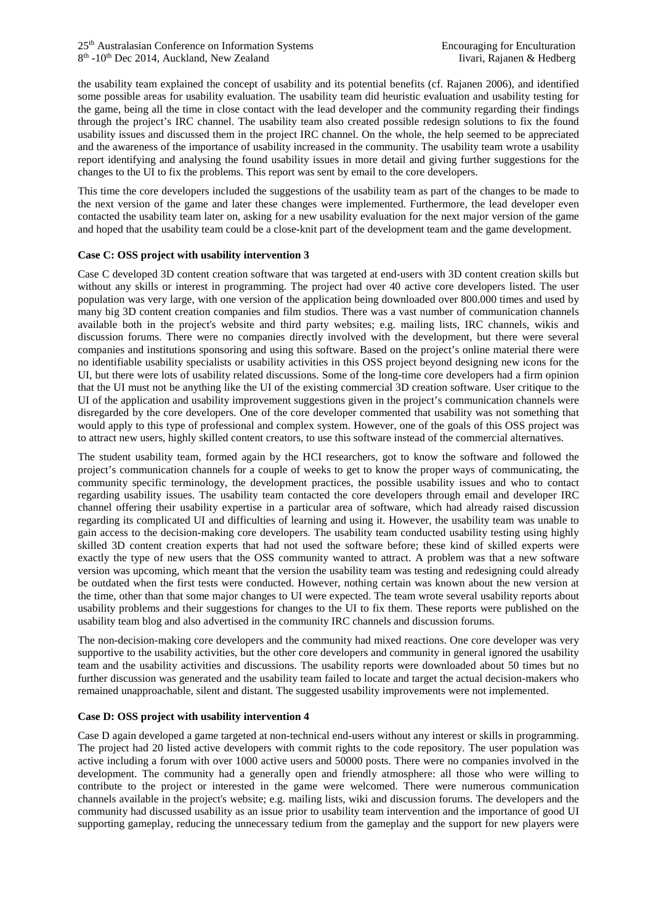the usability team explained the concept of usability and its potential benefits (cf. Rajanen 2006), and identified some possible areas for usability evaluation. The usability team did heuristic evaluation and usability testing for the game, being all the time in close contact with the lead developer and the community regarding their findings through the project's IRC channel. The usability team also created possible redesign solutions to fix the found usability issues and discussed them in the project IRC channel. On the whole, the help seemed to be appreciated and the awareness of the importance of usability increased in the community. The usability team wrote a usability report identifying and analysing the found usability issues in more detail and giving further suggestions for the changes to the UI to fix the problems. This report was sent by email to the core developers.

This time the core developers included the suggestions of the usability team as part of the changes to be made to the next version of the game and later these changes were implemented. Furthermore, the lead developer even contacted the usability team later on, asking for a new usability evaluation for the next major version of the game and hoped that the usability team could be a close-knit part of the development team and the game development.

## **Case C: OSS project with usability intervention 3**

Case C developed 3D content creation software that was targeted at end-users with 3D content creation skills but without any skills or interest in programming. The project had over 40 active core developers listed. The user population was very large, with one version of the application being downloaded over 800.000 times and used by many big 3D content creation companies and film studios. There was a vast number of communication channels available both in the project's website and third party websites; e.g. mailing lists, IRC channels, wikis and discussion forums. There were no companies directly involved with the development, but there were several companies and institutions sponsoring and using this software. Based on the project's online material there were no identifiable usability specialists or usability activities in this OSS project beyond designing new icons for the UI, but there were lots of usability related discussions. Some of the long-time core developers had a firm opinion that the UI must not be anything like the UI of the existing commercial 3D creation software. User critique to the UI of the application and usability improvement suggestions given in the project's communication channels were disregarded by the core developers. One of the core developer commented that usability was not something that would apply to this type of professional and complex system. However, one of the goals of this OSS project was to attract new users, highly skilled content creators, to use this software instead of the commercial alternatives.

The student usability team, formed again by the HCI researchers, got to know the software and followed the project's communication channels for a couple of weeks to get to know the proper ways of communicating, the community specific terminology, the development practices, the possible usability issues and who to contact regarding usability issues. The usability team contacted the core developers through email and developer IRC channel offering their usability expertise in a particular area of software, which had already raised discussion regarding its complicated UI and difficulties of learning and using it. However, the usability team was unable to gain access to the decision-making core developers. The usability team conducted usability testing using highly skilled 3D content creation experts that had not used the software before; these kind of skilled experts were exactly the type of new users that the OSS community wanted to attract. A problem was that a new software version was upcoming, which meant that the version the usability team was testing and redesigning could already be outdated when the first tests were conducted. However, nothing certain was known about the new version at the time, other than that some major changes to UI were expected. The team wrote several usability reports about usability problems and their suggestions for changes to the UI to fix them. These reports were published on the usability team blog and also advertised in the community IRC channels and discussion forums.

The non-decision-making core developers and the community had mixed reactions. One core developer was very supportive to the usability activities, but the other core developers and community in general ignored the usability team and the usability activities and discussions. The usability reports were downloaded about 50 times but no further discussion was generated and the usability team failed to locate and target the actual decision-makers who remained unapproachable, silent and distant. The suggested usability improvements were not implemented.

## **Case D: OSS project with usability intervention 4**

Case D again developed a game targeted at non-technical end-users without any interest or skills in programming. The project had 20 listed active developers with commit rights to the code repository. The user population was active including a forum with over 1000 active users and 50000 posts. There were no companies involved in the development. The community had a generally open and friendly atmosphere: all those who were willing to contribute to the project or interested in the game were welcomed. There were numerous communication channels available in the project's website; e.g. mailing lists, wiki and discussion forums. The developers and the community had discussed usability as an issue prior to usability team intervention and the importance of good UI supporting gameplay, reducing the unnecessary tedium from the gameplay and the support for new players were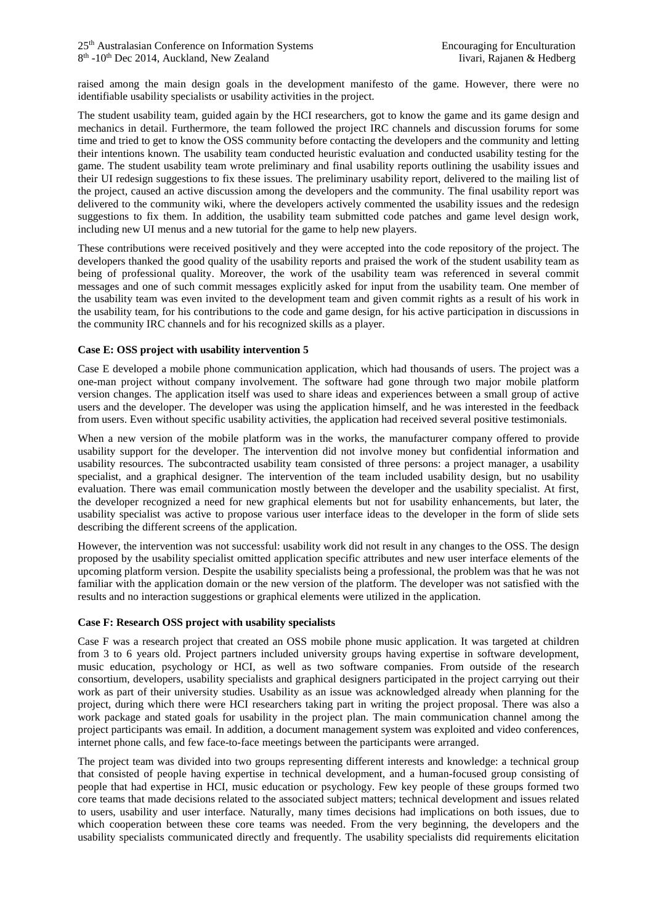raised among the main design goals in the development manifesto of the game. However, there were no identifiable usability specialists or usability activities in the project.

The student usability team, guided again by the HCI researchers, got to know the game and its game design and mechanics in detail. Furthermore, the team followed the project IRC channels and discussion forums for some time and tried to get to know the OSS community before contacting the developers and the community and letting their intentions known. The usability team conducted heuristic evaluation and conducted usability testing for the game. The student usability team wrote preliminary and final usability reports outlining the usability issues and their UI redesign suggestions to fix these issues. The preliminary usability report, delivered to the mailing list of the project, caused an active discussion among the developers and the community. The final usability report was delivered to the community wiki, where the developers actively commented the usability issues and the redesign suggestions to fix them. In addition, the usability team submitted code patches and game level design work, including new UI menus and a new tutorial for the game to help new players.

These contributions were received positively and they were accepted into the code repository of the project. The developers thanked the good quality of the usability reports and praised the work of the student usability team as being of professional quality. Moreover, the work of the usability team was referenced in several commit messages and one of such commit messages explicitly asked for input from the usability team. One member of the usability team was even invited to the development team and given commit rights as a result of his work in the usability team, for his contributions to the code and game design, for his active participation in discussions in the community IRC channels and for his recognized skills as a player.

#### **Case E: OSS project with usability intervention 5**

Case E developed a mobile phone communication application, which had thousands of users. The project was a one-man project without company involvement. The software had gone through two major mobile platform version changes. The application itself was used to share ideas and experiences between a small group of active users and the developer. The developer was using the application himself, and he was interested in the feedback from users. Even without specific usability activities, the application had received several positive testimonials.

When a new version of the mobile platform was in the works, the manufacturer company offered to provide usability support for the developer. The intervention did not involve money but confidential information and usability resources. The subcontracted usability team consisted of three persons: a project manager, a usability specialist, and a graphical designer. The intervention of the team included usability design, but no usability evaluation. There was email communication mostly between the developer and the usability specialist. At first, the developer recognized a need for new graphical elements but not for usability enhancements, but later, the usability specialist was active to propose various user interface ideas to the developer in the form of slide sets describing the different screens of the application.

However, the intervention was not successful: usability work did not result in any changes to the OSS. The design proposed by the usability specialist omitted application specific attributes and new user interface elements of the upcoming platform version. Despite the usability specialists being a professional, the problem was that he was not familiar with the application domain or the new version of the platform. The developer was not satisfied with the results and no interaction suggestions or graphical elements were utilized in the application.

## **Case F: Research OSS project with usability specialists**

Case F was a research project that created an OSS mobile phone music application. It was targeted at children from 3 to 6 years old. Project partners included university groups having expertise in software development, music education, psychology or HCI, as well as two software companies. From outside of the research consortium, developers, usability specialists and graphical designers participated in the project carrying out their work as part of their university studies. Usability as an issue was acknowledged already when planning for the project, during which there were HCI researchers taking part in writing the project proposal. There was also a work package and stated goals for usability in the project plan. The main communication channel among the project participants was email. In addition, a document management system was exploited and video conferences, internet phone calls, and few face-to-face meetings between the participants were arranged.

The project team was divided into two groups representing different interests and knowledge: a technical group that consisted of people having expertise in technical development, and a human-focused group consisting of people that had expertise in HCI, music education or psychology. Few key people of these groups formed two core teams that made decisions related to the associated subject matters; technical development and issues related to users, usability and user interface. Naturally, many times decisions had implications on both issues, due to which cooperation between these core teams was needed. From the very beginning, the developers and the usability specialists communicated directly and frequently. The usability specialists did requirements elicitation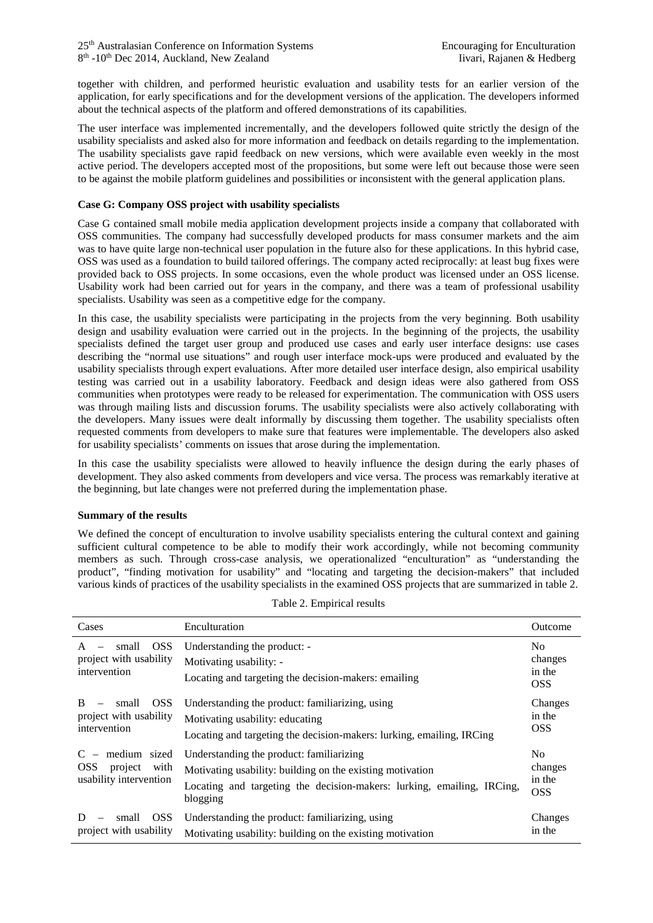together with children, and performed heuristic evaluation and usability tests for an earlier version of the application, for early specifications and for the development versions of the application. The developers informed about the technical aspects of the platform and offered demonstrations of its capabilities.

The user interface was implemented incrementally, and the developers followed quite strictly the design of the usability specialists and asked also for more information and feedback on details regarding to the implementation. The usability specialists gave rapid feedback on new versions, which were available even weekly in the most active period. The developers accepted most of the propositions, but some were left out because those were seen to be against the mobile platform guidelines and possibilities or inconsistent with the general application plans.

# **Case G: Company OSS project with usability specialists**

Case G contained small mobile media application development projects inside a company that collaborated with OSS communities. The company had successfully developed products for mass consumer markets and the aim was to have quite large non-technical user population in the future also for these applications. In this hybrid case, OSS was used as a foundation to build tailored offerings. The company acted reciprocally: at least bug fixes were provided back to OSS projects. In some occasions, even the whole product was licensed under an OSS license. Usability work had been carried out for years in the company, and there was a team of professional usability specialists. Usability was seen as a competitive edge for the company.

In this case, the usability specialists were participating in the projects from the very beginning. Both usability design and usability evaluation were carried out in the projects. In the beginning of the projects, the usability specialists defined the target user group and produced use cases and early user interface designs: use cases describing the "normal use situations" and rough user interface mock-ups were produced and evaluated by the usability specialists through expert evaluations. After more detailed user interface design, also empirical usability testing was carried out in a usability laboratory. Feedback and design ideas were also gathered from OSS communities when prototypes were ready to be released for experimentation. The communication with OSS users was through mailing lists and discussion forums. The usability specialists were also actively collaborating with the developers. Many issues were dealt informally by discussing them together. The usability specialists often requested comments from developers to make sure that features were implementable. The developers also asked for usability specialists' comments on issues that arose during the implementation.

In this case the usability specialists were allowed to heavily influence the design during the early phases of development. They also asked comments from developers and vice versa. The process was remarkably iterative at the beginning, but late changes were not preferred during the implementation phase.

## **Summary of the results**

We defined the concept of enculturation to involve usability specialists entering the cultural context and gaining sufficient cultural competence to be able to modify their work accordingly, while not becoming community members as such. Through cross-case analysis, we operationalized "enculturation" as "understanding the product", "finding motivation for usability" and "locating and targeting the decision-makers" that included various kinds of practices of the usability specialists in the examined OSS projects that are summarized in table 2.

| Cases                                                                         | Enculturation                                                                                                                                                                               | Outcome                                           |
|-------------------------------------------------------------------------------|---------------------------------------------------------------------------------------------------------------------------------------------------------------------------------------------|---------------------------------------------------|
| <b>OSS</b><br>small<br>A<br>project with usability<br>intervention            | Understanding the product: -<br>Motivating usability: -<br>Locating and targeting the decision-makers: emailing                                                                             | No.<br>changes<br>in the<br><b>OSS</b>            |
| <b>OSS</b><br><sub>B</sub><br>small<br>project with usability<br>intervention | Understanding the product: familiarizing, using<br>Motivating usability: educating<br>Locating and targeting the decision-makers: lurking, emailing, IRCing                                 | Changes<br>in the<br><b>OSS</b>                   |
| medium sized<br><b>OSS</b><br>with<br>project<br>usability intervention       | Understanding the product: familiarizing<br>Motivating usability: building on the existing motivation<br>Locating and targeting the decision-makers: lurking, emailing, IRCing,<br>blogging | N <sub>0</sub><br>changes<br>in the<br><b>OSS</b> |
| <b>OSS</b><br>small<br>project with usability                                 | Understanding the product: familiarizing, using<br>Motivating usability: building on the existing motivation                                                                                | Changes<br>in the                                 |

| Table 2. Empirical results |  |
|----------------------------|--|
|----------------------------|--|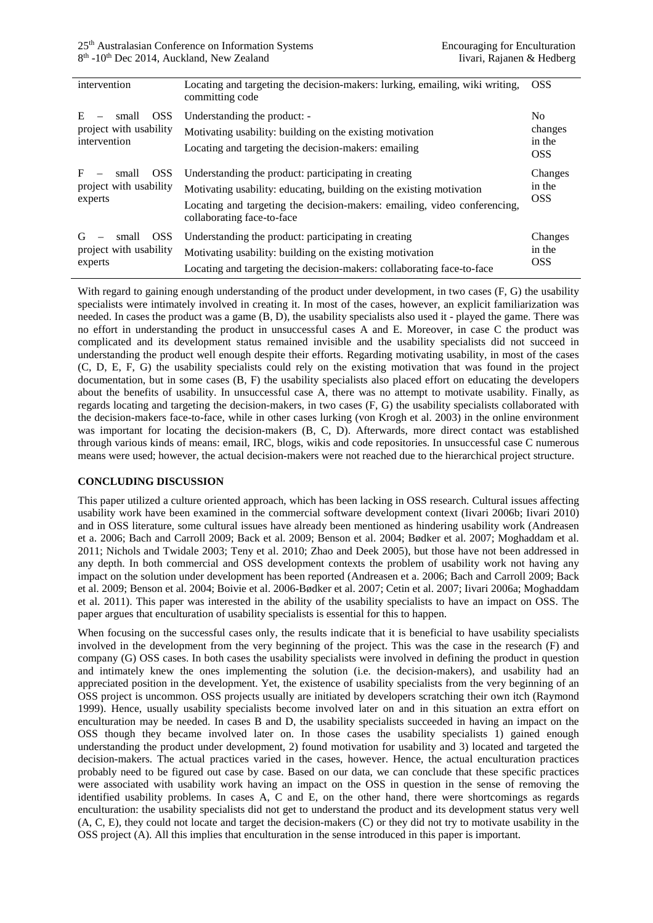| intervention                                                       | Locating and targeting the decision-makers: lurking, emailing, wiki writing,<br>committing code                                                                                                                                         | <b>OSS</b>                                        |
|--------------------------------------------------------------------|-----------------------------------------------------------------------------------------------------------------------------------------------------------------------------------------------------------------------------------------|---------------------------------------------------|
| E<br><b>OSS</b><br>small<br>project with usability<br>intervention | Understanding the product: -<br>Motivating usability: building on the existing motivation<br>Locating and targeting the decision-makers: emailing                                                                                       | N <sub>0</sub><br>changes<br>in the<br><b>OSS</b> |
| F<br><b>OSS</b><br>small<br>project with usability<br>experts      | Understanding the product: participating in creating<br>Motivating usability: educating, building on the existing motivation<br>Locating and targeting the decision-makers: emailing, video conferencing,<br>collaborating face-to-face | Changes<br>in the<br><b>OSS</b>                   |
| <b>OSS</b><br>G<br>small<br>project with usability<br>experts      | Understanding the product: participating in creating<br>Motivating usability: building on the existing motivation<br>Locating and targeting the decision-makers: collaborating face-to-face                                             | Changes<br>in the<br><b>OSS</b>                   |

With regard to gaining enough understanding of the product under development, in two cases (F, G) the usability specialists were intimately involved in creating it. In most of the cases, however, an explicit familiarization was needed. In cases the product was a game (B, D), the usability specialists also used it - played the game. There was no effort in understanding the product in unsuccessful cases A and E. Moreover, in case C the product was complicated and its development status remained invisible and the usability specialists did not succeed in understanding the product well enough despite their efforts. Regarding motivating usability, in most of the cases (C, D, E, F, G) the usability specialists could rely on the existing motivation that was found in the project documentation, but in some cases (B, F) the usability specialists also placed effort on educating the developers about the benefits of usability. In unsuccessful case A, there was no attempt to motivate usability. Finally, as regards locating and targeting the decision-makers, in two cases (F, G) the usability specialists collaborated with the decision-makers face-to-face, while in other cases lurking (von Krogh et al. 2003) in the online environment was important for locating the decision-makers (B, C, D). Afterwards, more direct contact was established through various kinds of means: email, IRC, blogs, wikis and code repositories. In unsuccessful case C numerous means were used; however, the actual decision-makers were not reached due to the hierarchical project structure.

# **CONCLUDING DISCUSSION**

This paper utilized a culture oriented approach, which has been lacking in OSS research. Cultural issues affecting usability work have been examined in the commercial software development context (Iivari 2006b; Iivari 2010) and in OSS literature, some cultural issues have already been mentioned as hindering usability work (Andreasen et a. 2006; Bach and Carroll 2009; Back et al. 2009; Benson et al. 2004; Bødker et al. 2007; Moghaddam et al. 2011; Nichols and Twidale 2003; Teny et al. 2010; Zhao and Deek 2005), but those have not been addressed in any depth. In both commercial and OSS development contexts the problem of usability work not having any impact on the solution under development has been reported (Andreasen et a. 2006; Bach and Carroll 2009; Back et al. 2009; Benson et al. 2004; Boivie et al. 2006-Bødker et al. 2007; Cetin et al. 2007; Iivari 2006a; Moghaddam et al. 2011). This paper was interested in the ability of the usability specialists to have an impact on OSS. The paper argues that enculturation of usability specialists is essential for this to happen.

When focusing on the successful cases only, the results indicate that it is beneficial to have usability specialists involved in the development from the very beginning of the project. This was the case in the research (F) and company (G) OSS cases. In both cases the usability specialists were involved in defining the product in question and intimately knew the ones implementing the solution (i.e. the decision-makers), and usability had an appreciated position in the development. Yet, the existence of usability specialists from the very beginning of an OSS project is uncommon. OSS projects usually are initiated by developers scratching their own itch (Raymond 1999). Hence, usually usability specialists become involved later on and in this situation an extra effort on enculturation may be needed. In cases B and D, the usability specialists succeeded in having an impact on the OSS though they became involved later on. In those cases the usability specialists 1) gained enough understanding the product under development, 2) found motivation for usability and 3) located and targeted the decision-makers. The actual practices varied in the cases, however. Hence, the actual enculturation practices probably need to be figured out case by case. Based on our data, we can conclude that these specific practices were associated with usability work having an impact on the OSS in question in the sense of removing the identified usability problems. In cases A, C and E, on the other hand, there were shortcomings as regards enculturation: the usability specialists did not get to understand the product and its development status very well (A, C, E), they could not locate and target the decision-makers (C) or they did not try to motivate usability in the OSS project (A). All this implies that enculturation in the sense introduced in this paper is important.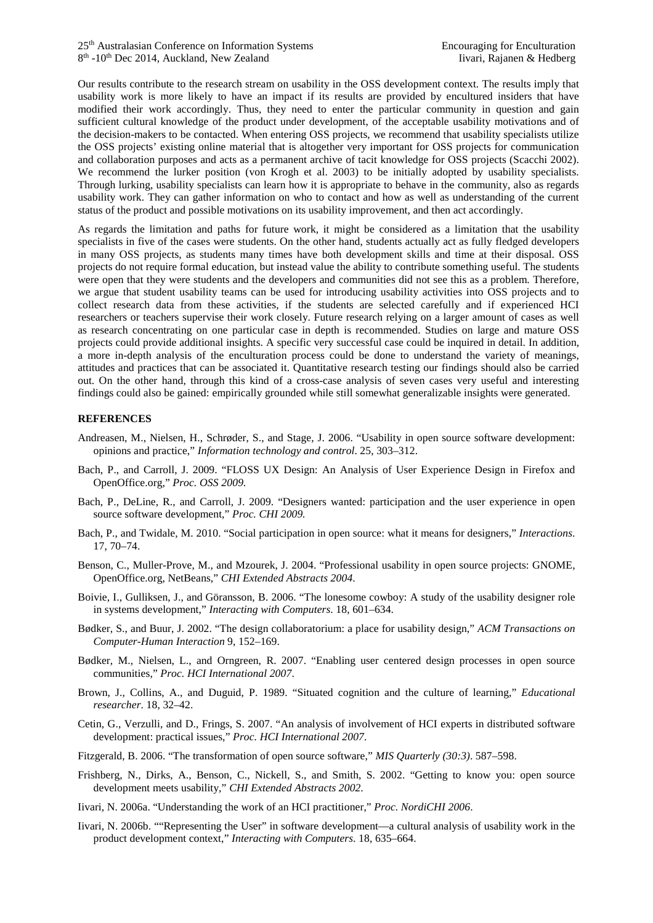Our results contribute to the research stream on usability in the OSS development context. The results imply that usability work is more likely to have an impact if its results are provided by encultured insiders that have modified their work accordingly. Thus, they need to enter the particular community in question and gain sufficient cultural knowledge of the product under development, of the acceptable usability motivations and of the decision-makers to be contacted. When entering OSS projects, we recommend that usability specialists utilize the OSS projects' existing online material that is altogether very important for OSS projects for communication and collaboration purposes and acts as a permanent archive of tacit knowledge for OSS projects (Scacchi 2002). We recommend the lurker position (von Krogh et al. 2003) to be initially adopted by usability specialists. Through lurking, usability specialists can learn how it is appropriate to behave in the community, also as regards usability work. They can gather information on who to contact and how as well as understanding of the current status of the product and possible motivations on its usability improvement, and then act accordingly.

As regards the limitation and paths for future work, it might be considered as a limitation that the usability specialists in five of the cases were students. On the other hand, students actually act as fully fledged developers in many OSS projects, as students many times have both development skills and time at their disposal. OSS projects do not require formal education, but instead value the ability to contribute something useful. The students were open that they were students and the developers and communities did not see this as a problem. Therefore, we argue that student usability teams can be used for introducing usability activities into OSS projects and to collect research data from these activities, if the students are selected carefully and if experienced HCI researchers or teachers supervise their work closely. Future research relying on a larger amount of cases as well as research concentrating on one particular case in depth is recommended. Studies on large and mature OSS projects could provide additional insights. A specific very successful case could be inquired in detail. In addition, a more in-depth analysis of the enculturation process could be done to understand the variety of meanings, attitudes and practices that can be associated it. Quantitative research testing our findings should also be carried out. On the other hand, through this kind of a cross-case analysis of seven cases very useful and interesting findings could also be gained: empirically grounded while still somewhat generalizable insights were generated.

## **REFERENCES**

- Andreasen, M., Nielsen, H., Schrøder, S., and Stage, J. 2006. "Usability in open source software development: opinions and practice," *Information technology and control*. 25, 303–312.
- Bach, P., and Carroll, J. 2009. "FLOSS UX Design: An Analysis of User Experience Design in Firefox and OpenOffice.org," *Proc. OSS 2009.*
- Bach, P., DeLine, R., and Carroll, J. 2009. "Designers wanted: participation and the user experience in open source software development," *Proc. CHI 2009.*
- Bach, P., and Twidale, M. 2010. "Social participation in open source: what it means for designers," *Interactions*. 17, 70–74.
- Benson, C., Muller-Prove, M., and Mzourek, J. 2004. "Professional usability in open source projects: GNOME, OpenOffice.org, NetBeans," *CHI Extended Abstracts 2004*.
- Boivie, I., Gulliksen, J., and Göransson, B. 2006. "The lonesome cowboy: A study of the usability designer role in systems development," *Interacting with Computers*. 18, 601–634.
- Bødker, S., and Buur, J. 2002. "The design collaboratorium: a place for usability design," *ACM Transactions on Computer-Human Interaction* 9, 152–169.
- Bødker, M., Nielsen, L., and Orngreen, R. 2007. "Enabling user centered design processes in open source communities," *Proc. HCI International 2007*.
- Brown, J., Collins, A., and Duguid, P. 1989. "Situated cognition and the culture of learning," *Educational researcher*. 18, 32–42.
- Cetin, G., Verzulli, and D., Frings, S. 2007. "An analysis of involvement of HCI experts in distributed software development: practical issues," *Proc. HCI International 2007*.
- Fitzgerald, B. 2006. "The transformation of open source software," *MIS Quarterly (30:3)*. 587–598.
- Frishberg, N., Dirks, A., Benson, C., Nickell, S., and Smith, S. 2002. "Getting to know you: open source development meets usability," *CHI Extended Abstracts 2002*.
- Iivari, N. 2006a. "Understanding the work of an HCI practitioner," *Proc. NordiCHI 2006*.
- Iivari, N. 2006b. ""Representing the User" in software development—a cultural analysis of usability work in the product development context," *Interacting with Computers*. 18, 635–664.